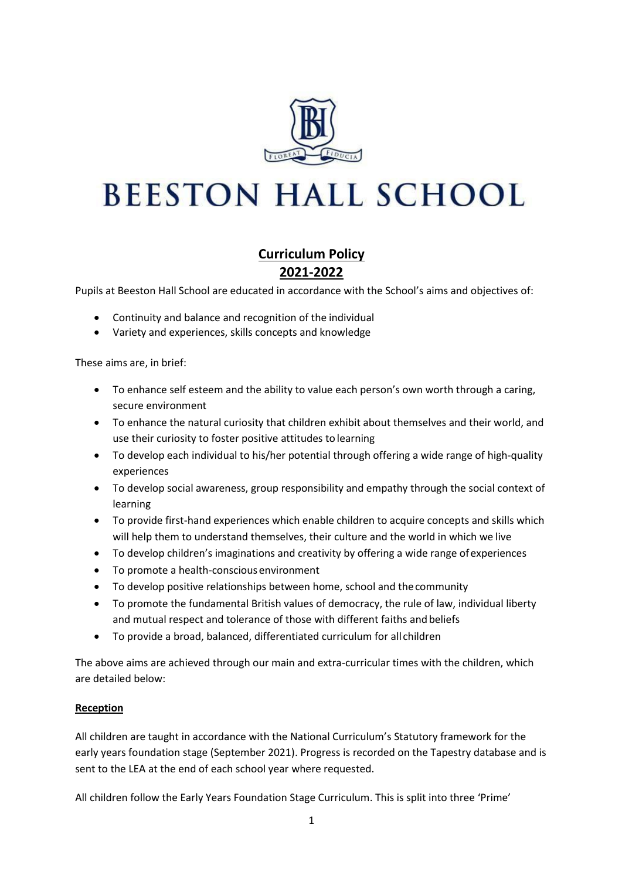

# **BEESTON HALL SCHOOL**

# **Curriculum Policy 2021-2022**

Pupils at Beeston Hall School are educated in accordance with the School's aims and objectives of:

- Continuity and balance and recognition of the individual
- Variety and experiences, skills concepts and knowledge

These aims are, in brief:

- To enhance self esteem and the ability to value each person's own worth through a caring, secure environment
- To enhance the natural curiosity that children exhibit about themselves and their world, and use their curiosity to foster positive attitudes to learning
- To develop each individual to his/her potential through offering a wide range of high-quality experiences
- To develop social awareness, group responsibility and empathy through the social context of learning
- To provide first-hand experiences which enable children to acquire concepts and skills which will help them to understand themselves, their culture and the world in which we live
- To develop children's imaginations and creativity by offering a wide range ofexperiences
- To promote a health-conscious environment
- To develop positive relationships between home, school and thecommunity
- To promote the fundamental British values of democracy, the rule of law, individual liberty and mutual respect and tolerance of those with different faiths and beliefs
- To provide a broad, balanced, differentiated curriculum for all children

The above aims are achieved through our main and extra-curricular times with the children, which are detailed below:

#### **Reception**

All children are taught in accordance with the National Curriculum's Statutory framework for the early years foundation stage (September 2021). Progress is recorded on the Tapestry database and is sent to the LEA at the end of each school year where requested.

All children follow the Early Years Foundation Stage Curriculum. This is split into three 'Prime'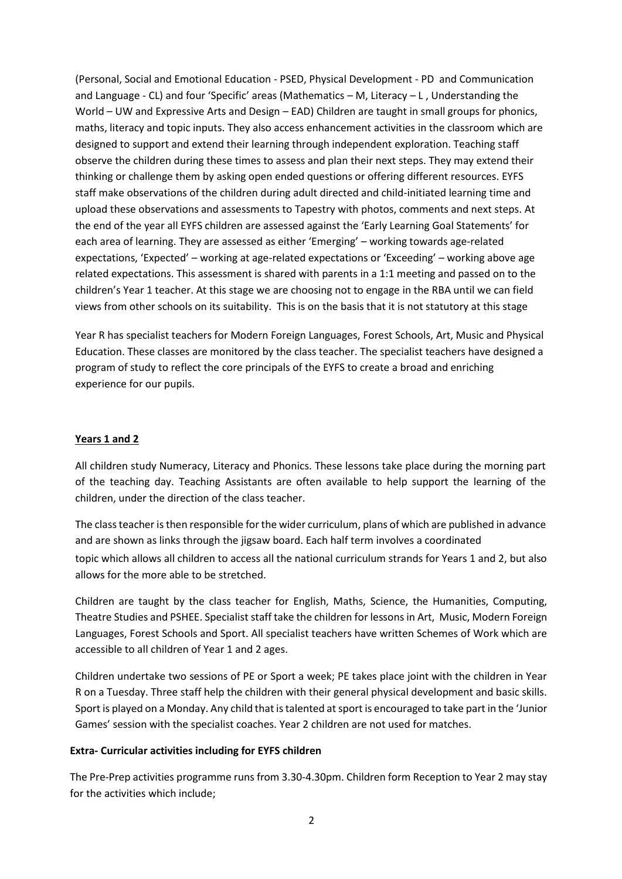(Personal, Social and Emotional Education - PSED, Physical Development - PD and Communication and Language - CL) and four 'Specific' areas (Mathematics – M, Literacy – L , Understanding the World – UW and Expressive Arts and Design – EAD) Children are taught in small groups for phonics, maths, literacy and topic inputs. They also access enhancement activities in the classroom which are designed to support and extend their learning through independent exploration. Teaching staff observe the children during these times to assess and plan their next steps. They may extend their thinking or challenge them by asking open ended questions or offering different resources. EYFS staff make observations of the children during adult directed and child-initiated learning time and upload these observations and assessments to Tapestry with photos, comments and next steps. At the end of the year all EYFS children are assessed against the 'Early Learning Goal Statements' for each area of learning. They are assessed as either 'Emerging' – working towards age-related expectations, 'Expected' – working at age-related expectations or 'Exceeding' – working above age related expectations. This assessment is shared with parents in a 1:1 meeting and passed on to the children's Year 1 teacher. At this stage we are choosing not to engage in the RBA until we can field views from other schools on its suitability. This is on the basis that it is not statutory at this stage

Year R has specialist teachers for Modern Foreign Languages, Forest Schools, Art, Music and Physical Education. These classes are monitored by the class teacher. The specialist teachers have designed a program of study to reflect the core principals of the EYFS to create a broad and enriching experience for our pupils.

#### **Years 1 and 2**

All children study Numeracy, Literacy and Phonics. These lessons take place during the morning part of the teaching day. Teaching Assistants are often available to help support the learning of the children, under the direction of the class teacher.

The class teacher is then responsible for the wider curriculum, plans of which are published in advance and are shown as links through the jigsaw board. Each half term involves a coordinated

topic which allows all children to access all the national curriculum strands for Years 1 and 2, but also allows for the more able to be stretched.

Children are taught by the class teacher for English, Maths, Science, the Humanities, Computing, Theatre Studies and PSHEE. Specialist staff take the children for lessons in Art, Music, Modern Foreign Languages, Forest Schools and Sport. All specialist teachers have written Schemes of Work which are accessible to all children of Year 1 and 2 ages.

Children undertake two sessions of PE or Sport a week; PE takes place joint with the children in Year R on a Tuesday. Three staff help the children with their general physical development and basic skills. Sport is played on a Monday. Any child that is talented at sport is encouraged to take part in the 'Junior Games' session with the specialist coaches. Year 2 children are not used for matches.

#### **Extra- Curricular activities including for EYFS children**

The Pre-Prep activities programme runs from 3.30-4.30pm. Children form Reception to Year 2 may stay for the activities which include;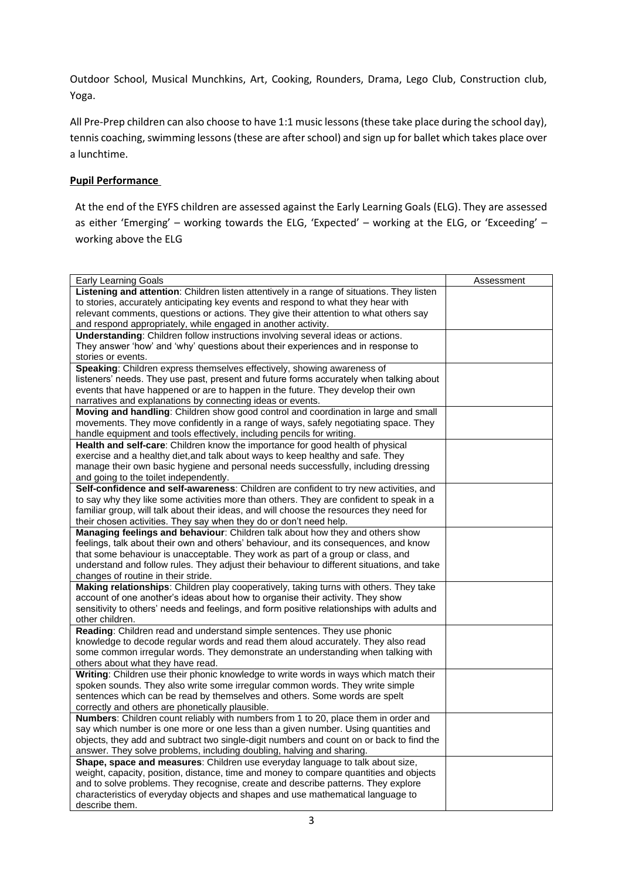Outdoor School, Musical Munchkins, Art, Cooking, Rounders, Drama, Lego Club, Construction club, Yoga.

All Pre-Prep children can also choose to have 1:1 music lessons (these take place during the school day), tennis coaching, swimming lessons (these are after school) and sign up for ballet which takes place over a lunchtime.

## **Pupil Performance**

At the end of the EYFS children are assessed against the Early Learning Goals (ELG). They are assessed as either 'Emerging' – working towards the ELG, 'Expected' – working at the ELG, or 'Exceeding' – working above the ELG

| Early Learning Goals                                                                                                                                                    | Assessment |
|-------------------------------------------------------------------------------------------------------------------------------------------------------------------------|------------|
| Listening and attention: Children listen attentively in a range of situations. They listen                                                                              |            |
| to stories, accurately anticipating key events and respond to what they hear with                                                                                       |            |
| relevant comments, questions or actions. They give their attention to what others say                                                                                   |            |
| and respond appropriately, while engaged in another activity.                                                                                                           |            |
| <b>Understanding:</b> Children follow instructions involving several ideas or actions.                                                                                  |            |
| They answer 'how' and 'why' questions about their experiences and in response to                                                                                        |            |
| stories or events.                                                                                                                                                      |            |
| Speaking: Children express themselves effectively, showing awareness of                                                                                                 |            |
| listeners' needs. They use past, present and future forms accurately when talking about                                                                                 |            |
| events that have happened or are to happen in the future. They develop their own                                                                                        |            |
| narratives and explanations by connecting ideas or events.                                                                                                              |            |
| Moving and handling: Children show good control and coordination in large and small                                                                                     |            |
| movements. They move confidently in a range of ways, safely negotiating space. They                                                                                     |            |
| handle equipment and tools effectively, including pencils for writing.                                                                                                  |            |
| Health and self-care: Children know the importance for good health of physical                                                                                          |            |
| exercise and a healthy diet, and talk about ways to keep healthy and safe. They                                                                                         |            |
| manage their own basic hygiene and personal needs successfully, including dressing                                                                                      |            |
| and going to the toilet independently.                                                                                                                                  |            |
| Self-confidence and self-awareness: Children are confident to try new activities, and                                                                                   |            |
| to say why they like some activities more than others. They are confident to speak in a                                                                                 |            |
| familiar group, will talk about their ideas, and will choose the resources they need for                                                                                |            |
| their chosen activities. They say when they do or don't need help.                                                                                                      |            |
| Managing feelings and behaviour: Children talk about how they and others show                                                                                           |            |
|                                                                                                                                                                         |            |
| feelings, talk about their own and others' behaviour, and its consequences, and know<br>that some behaviour is unacceptable. They work as part of a group or class, and |            |
| understand and follow rules. They adjust their behaviour to different situations, and take                                                                              |            |
| changes of routine in their stride.                                                                                                                                     |            |
| Making relationships: Children play cooperatively, taking turns with others. They take                                                                                  |            |
| account of one another's ideas about how to organise their activity. They show                                                                                          |            |
| sensitivity to others' needs and feelings, and form positive relationships with adults and                                                                              |            |
| other children.                                                                                                                                                         |            |
| Reading: Children read and understand simple sentences. They use phonic                                                                                                 |            |
| knowledge to decode regular words and read them aloud accurately. They also read                                                                                        |            |
| some common irregular words. They demonstrate an understanding when talking with                                                                                        |            |
| others about what they have read.                                                                                                                                       |            |
| Writing: Children use their phonic knowledge to write words in ways which match their                                                                                   |            |
| spoken sounds. They also write some irregular common words. They write simple                                                                                           |            |
| sentences which can be read by themselves and others. Some words are spelt                                                                                              |            |
| correctly and others are phonetically plausible.                                                                                                                        |            |
| <b>Numbers:</b> Children count reliably with numbers from 1 to 20, place them in order and                                                                              |            |
| say which number is one more or one less than a given number. Using quantities and                                                                                      |            |
| objects, they add and subtract two single-digit numbers and count on or back to find the                                                                                |            |
| answer. They solve problems, including doubling, halving and sharing.                                                                                                   |            |
| Shape, space and measures: Children use everyday language to talk about size,                                                                                           |            |
| weight, capacity, position, distance, time and money to compare quantities and objects                                                                                  |            |
| and to solve problems. They recognise, create and describe patterns. They explore                                                                                       |            |
| characteristics of everyday objects and shapes and use mathematical language to                                                                                         |            |
| describe them.                                                                                                                                                          |            |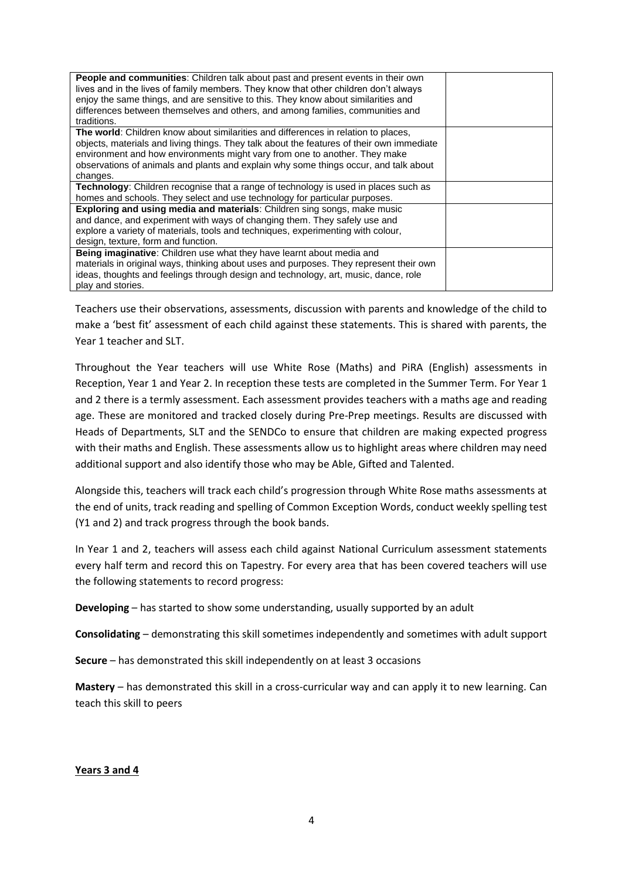| <b>People and communities:</b> Children talk about past and present events in their own<br>lives and in the lives of family members. They know that other children don't always<br>enjoy the same things, and are sensitive to this. They know about similarities and<br>differences between themselves and others, and among families, communities and<br>traditions.   |  |
|--------------------------------------------------------------------------------------------------------------------------------------------------------------------------------------------------------------------------------------------------------------------------------------------------------------------------------------------------------------------------|--|
| <b>The world:</b> Children know about similarities and differences in relation to places,<br>objects, materials and living things. They talk about the features of their own immediate<br>environment and how environments might vary from one to another. They make<br>observations of animals and plants and explain why some things occur, and talk about<br>changes. |  |
| <b>Technology:</b> Children recognise that a range of technology is used in places such as<br>homes and schools. They select and use technology for particular purposes.                                                                                                                                                                                                 |  |
| <b>Exploring and using media and materials: Children sing songs, make music</b><br>and dance, and experiment with ways of changing them. They safely use and                                                                                                                                                                                                             |  |
| explore a variety of materials, tools and techniques, experimenting with colour,<br>design, texture, form and function.                                                                                                                                                                                                                                                  |  |
| Being imaginative: Children use what they have learnt about media and<br>materials in original ways, thinking about uses and purposes. They represent their own<br>ideas, thoughts and feelings through design and technology, art, music, dance, role<br>play and stories.                                                                                              |  |

Teachers use their observations, assessments, discussion with parents and knowledge of the child to make a 'best fit' assessment of each child against these statements. This is shared with parents, the Year 1 teacher and SLT.

Throughout the Year teachers will use White Rose (Maths) and PiRA (English) assessments in Reception, Year 1 and Year 2. In reception these tests are completed in the Summer Term. For Year 1 and 2 there is a termly assessment. Each assessment provides teachers with a maths age and reading age. These are monitored and tracked closely during Pre-Prep meetings. Results are discussed with Heads of Departments, SLT and the SENDCo to ensure that children are making expected progress with their maths and English. These assessments allow us to highlight areas where children may need additional support and also identify those who may be Able, Gifted and Talented.

Alongside this, teachers will track each child's progression through White Rose maths assessments at the end of units, track reading and spelling of Common Exception Words, conduct weekly spelling test (Y1 and 2) and track progress through the book bands.

In Year 1 and 2, teachers will assess each child against National Curriculum assessment statements every half term and record this on Tapestry. For every area that has been covered teachers will use the following statements to record progress:

**Developing** – has started to show some understanding, usually supported by an adult

**Consolidating** – demonstrating this skill sometimes independently and sometimes with adult support

**Secure** – has demonstrated this skill independently on at least 3 occasions

**Mastery** – has demonstrated this skill in a cross-curricular way and can apply it to new learning. Can teach this skill to peers

#### **Years 3 and 4**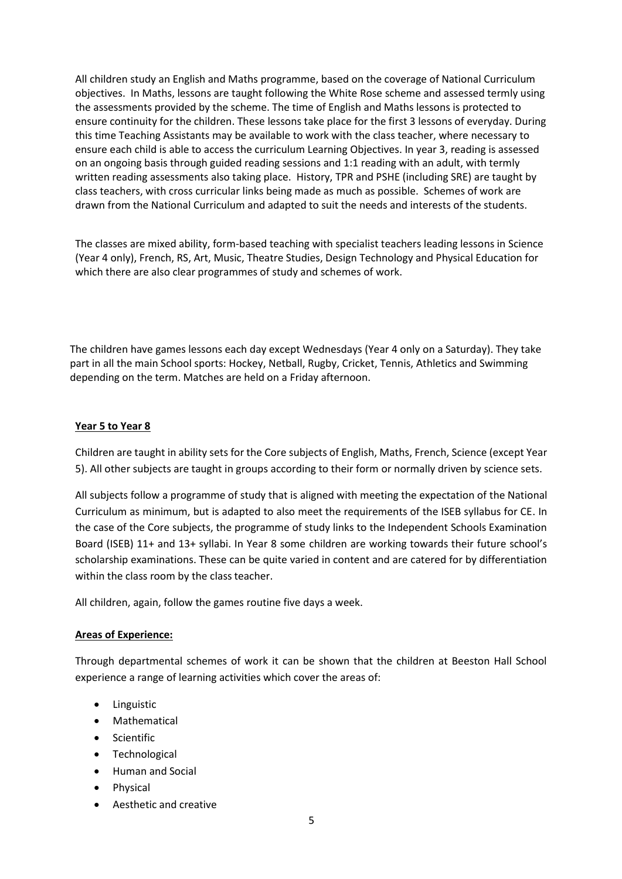All children study an English and Maths programme, based on the coverage of National Curriculum objectives. In Maths, lessons are taught following the White Rose scheme and assessed termly using the assessments provided by the scheme. The time of English and Maths lessons is protected to ensure continuity for the children. These lessons take place for the first 3 lessons of everyday. During this time Teaching Assistants may be available to work with the class teacher, where necessary to ensure each child is able to access the curriculum Learning Objectives. In year 3, reading is assessed on an ongoing basis through guided reading sessions and 1:1 reading with an adult, with termly written reading assessments also taking place. History, TPR and PSHE (including SRE) are taught by class teachers, with cross curricular links being made as much as possible. Schemes of work are drawn from the National Curriculum and adapted to suit the needs and interests of the students.

The classes are mixed ability, form-based teaching with specialist teachers leading lessons in Science (Year 4 only), French, RS, Art, Music, Theatre Studies, Design Technology and Physical Education for which there are also clear programmes of study and schemes of work.

The children have games lessons each day except Wednesdays (Year 4 only on a Saturday). They take part in all the main School sports: Hockey, Netball, Rugby, Cricket, Tennis, Athletics and Swimming depending on the term. Matches are held on a Friday afternoon.

#### **Year 5 to Year 8**

Children are taught in ability sets for the Core subjects of English, Maths, French, Science (except Year 5). All other subjects are taught in groups according to their form or normally driven by science sets.

All subjects follow a programme of study that is aligned with meeting the expectation of the National Curriculum as minimum, but is adapted to also meet the requirements of the ISEB syllabus for CE. In the case of the Core subjects, the programme of study links to the Independent Schools Examination Board (ISEB) 11+ and 13+ syllabi. In Year 8 some children are working towards their future school's scholarship examinations. These can be quite varied in content and are catered for by differentiation within the class room by the class teacher.

All children, again, follow the games routine five days a week.

#### **Areas of Experience:**

Through departmental schemes of work it can be shown that the children at Beeston Hall School experience a range of learning activities which cover the areas of:

- Linguistic
- Mathematical
- Scientific
- Technological
- Human and Social
- Physical
- Aesthetic and creative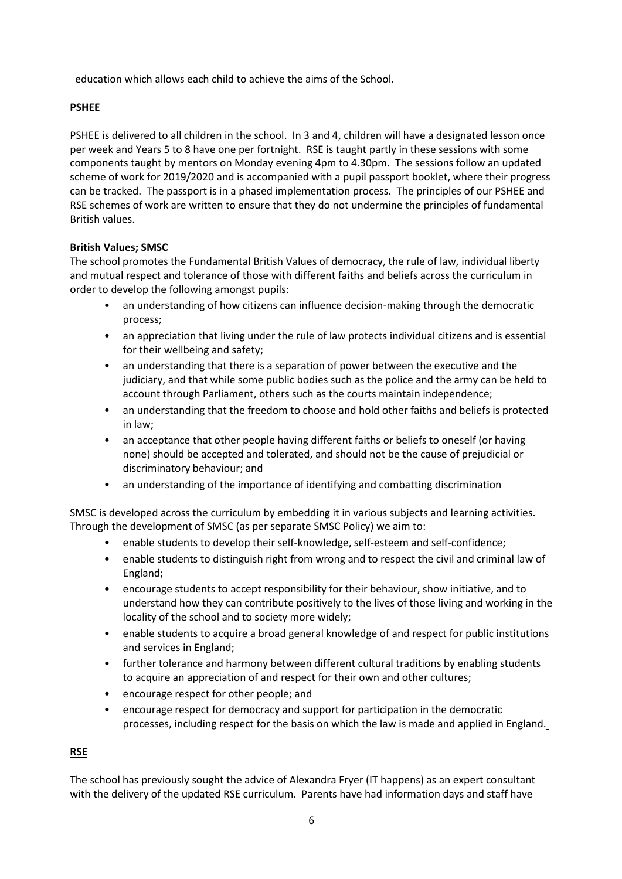education which allows each child to achieve the aims of the School.

## **PSHEE**

PSHEE is delivered to all children in the school. In 3 and 4, children will have a designated lesson once per week and Years 5 to 8 have one per fortnight. RSE is taught partly in these sessions with some components taught by mentors on Monday evening 4pm to 4.30pm. The sessions follow an updated scheme of work for 2019/2020 and is accompanied with a pupil passport booklet, where their progress can be tracked. The passport is in a phased implementation process. The principles of our PSHEE and RSE schemes of work are written to ensure that they do not undermine the principles of fundamental British values.

## **British Values; SMSC**

The school promotes the Fundamental British Values of democracy, the rule of law, individual liberty and mutual respect and tolerance of those with different faiths and beliefs across the curriculum in order to develop the following amongst pupils:

- an understanding of how citizens can influence decision-making through the democratic process;
- an appreciation that living under the rule of law protects individual citizens and is essential for their wellbeing and safety;
- an understanding that there is a separation of power between the executive and the judiciary, and that while some public bodies such as the police and the army can be held to account through Parliament, others such as the courts maintain independence;
- an understanding that the freedom to choose and hold other faiths and beliefs is protected in law;
- an acceptance that other people having different faiths or beliefs to oneself (or having none) should be accepted and tolerated, and should not be the cause of prejudicial or discriminatory behaviour; and
- an understanding of the importance of identifying and combatting discrimination

SMSC is developed across the curriculum by embedding it in various subjects and learning activities. Through the development of SMSC (as per separate SMSC Policy) we aim to:

- enable students to develop their self-knowledge, self-esteem and self-confidence;
- enable students to distinguish right from wrong and to respect the civil and criminal law of England;
- encourage students to accept responsibility for their behaviour, show initiative, and to understand how they can contribute positively to the lives of those living and working in the locality of the school and to society more widely;
- enable students to acquire a broad general knowledge of and respect for public institutions and services in England;
- further tolerance and harmony between different cultural traditions by enabling students to acquire an appreciation of and respect for their own and other cultures;
- encourage respect for other people; and
- encourage respect for democracy and support for participation in the democratic processes, including respect for the basis on which the law is made and applied in England.

## **RSE**

The school has previously sought the advice of Alexandra Fryer (IT happens) as an expert consultant with the delivery of the updated RSE curriculum. Parents have had information days and staff have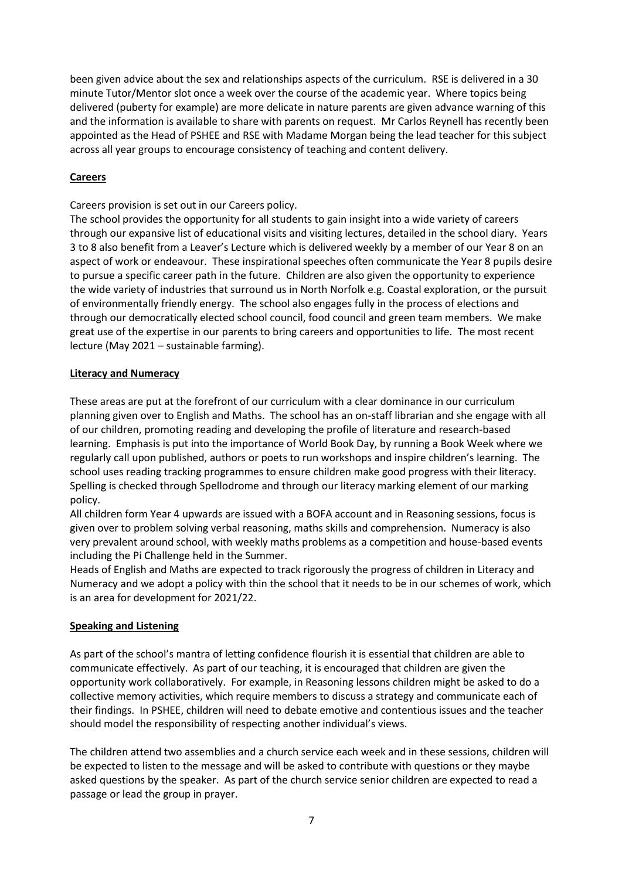been given advice about the sex and relationships aspects of the curriculum. RSE is delivered in a 30 minute Tutor/Mentor slot once a week over the course of the academic year. Where topics being delivered (puberty for example) are more delicate in nature parents are given advance warning of this and the information is available to share with parents on request. Mr Carlos Reynell has recently been appointed as the Head of PSHEE and RSE with Madame Morgan being the lead teacher for this subject across all year groups to encourage consistency of teaching and content delivery.

## **Careers**

Careers provision is set out in our Careers policy.

The school provides the opportunity for all students to gain insight into a wide variety of careers through our expansive list of educational visits and visiting lectures, detailed in the school diary. Years 3 to 8 also benefit from a Leaver's Lecture which is delivered weekly by a member of our Year 8 on an aspect of work or endeavour. These inspirational speeches often communicate the Year 8 pupils desire to pursue a specific career path in the future. Children are also given the opportunity to experience the wide variety of industries that surround us in North Norfolk e.g. Coastal exploration, or the pursuit of environmentally friendly energy. The school also engages fully in the process of elections and through our democratically elected school council, food council and green team members. We make great use of the expertise in our parents to bring careers and opportunities to life. The most recent lecture (May 2021 – sustainable farming).

# **Literacy and Numeracy**

These areas are put at the forefront of our curriculum with a clear dominance in our curriculum planning given over to English and Maths. The school has an on-staff librarian and she engage with all of our children, promoting reading and developing the profile of literature and research-based learning. Emphasis is put into the importance of World Book Day, by running a Book Week where we regularly call upon published, authors or poets to run workshops and inspire children's learning. The school uses reading tracking programmes to ensure children make good progress with their literacy. Spelling is checked through Spellodrome and through our literacy marking element of our marking policy.

All children form Year 4 upwards are issued with a BOFA account and in Reasoning sessions, focus is given over to problem solving verbal reasoning, maths skills and comprehension. Numeracy is also very prevalent around school, with weekly maths problems as a competition and house-based events including the Pi Challenge held in the Summer.

Heads of English and Maths are expected to track rigorously the progress of children in Literacy and Numeracy and we adopt a policy with thin the school that it needs to be in our schemes of work, which is an area for development for 2021/22.

## **Speaking and Listening**

As part of the school's mantra of letting confidence flourish it is essential that children are able to communicate effectively. As part of our teaching, it is encouraged that children are given the opportunity work collaboratively. For example, in Reasoning lessons children might be asked to do a collective memory activities, which require members to discuss a strategy and communicate each of their findings. In PSHEE, children will need to debate emotive and contentious issues and the teacher should model the responsibility of respecting another individual's views.

The children attend two assemblies and a church service each week and in these sessions, children will be expected to listen to the message and will be asked to contribute with questions or they maybe asked questions by the speaker. As part of the church service senior children are expected to read a passage or lead the group in prayer.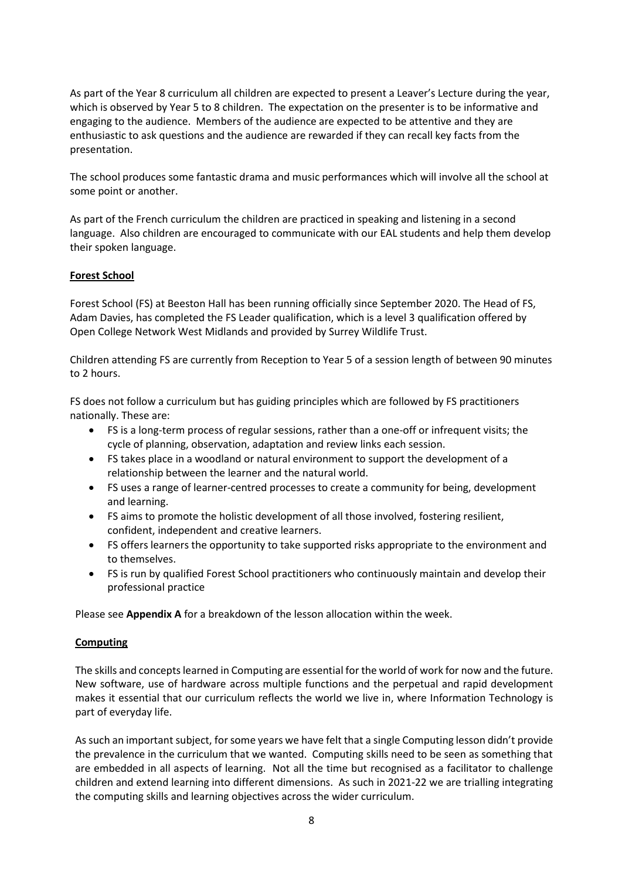As part of the Year 8 curriculum all children are expected to present a Leaver's Lecture during the year, which is observed by Year 5 to 8 children. The expectation on the presenter is to be informative and engaging to the audience. Members of the audience are expected to be attentive and they are enthusiastic to ask questions and the audience are rewarded if they can recall key facts from the presentation.

The school produces some fantastic drama and music performances which will involve all the school at some point or another.

As part of the French curriculum the children are practiced in speaking and listening in a second language. Also children are encouraged to communicate with our EAL students and help them develop their spoken language.

#### **Forest School**

Forest School (FS) at Beeston Hall has been running officially since September 2020. The Head of FS, Adam Davies, has completed the FS Leader qualification, which is a level 3 qualification offered by Open College Network West Midlands and provided by Surrey Wildlife Trust.

Children attending FS are currently from Reception to Year 5 of a session length of between 90 minutes to 2 hours.

FS does not follow a curriculum but has guiding principles which are followed by FS practitioners nationally. These are:

- FS is a long-term process of regular sessions, rather than a one-off or infrequent visits; the cycle of planning, observation, adaptation and review links each session.
- FS takes place in a woodland or natural environment to support the development of a relationship between the learner and the natural world.
- FS uses a range of learner-centred processes to create a community for being, development and learning.
- FS aims to promote the holistic development of all those involved, fostering resilient, confident, independent and creative learners.
- FS offers learners the opportunity to take supported risks appropriate to the environment and to themselves.
- FS is run by qualified Forest School practitioners who continuously maintain and develop their professional practice

Please see **Appendix A** for a breakdown of the lesson allocation within the week.

#### **Computing**

The skills and concepts learned in Computing are essential for the world of work for now and the future. New software, use of hardware across multiple functions and the perpetual and rapid development makes it essential that our curriculum reflects the world we live in, where Information Technology is part of everyday life.

As such an important subject, for some years we have felt that a single Computing lesson didn't provide the prevalence in the curriculum that we wanted. Computing skills need to be seen as something that are embedded in all aspects of learning. Not all the time but recognised as a facilitator to challenge children and extend learning into different dimensions. As such in 2021-22 we are trialling integrating the computing skills and learning objectives across the wider curriculum.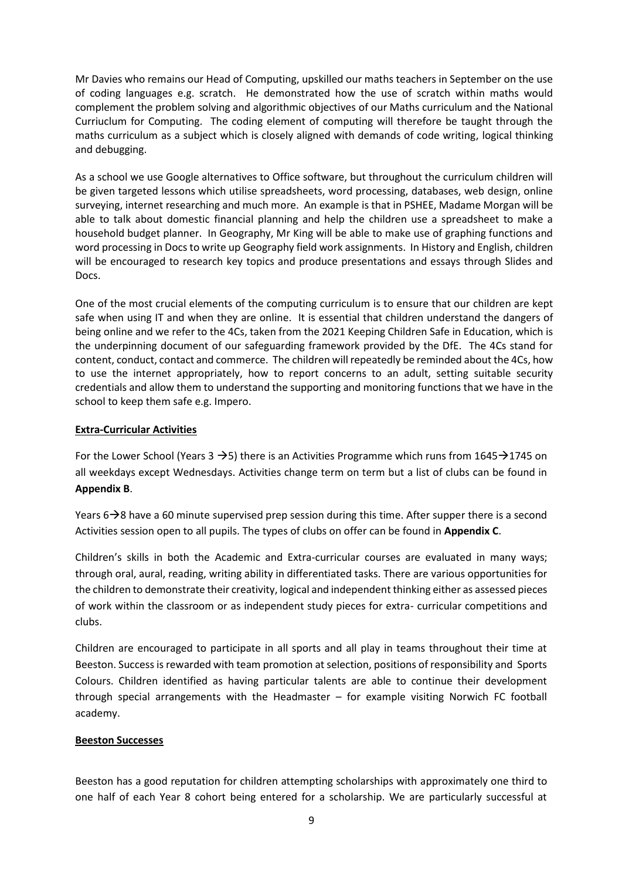Mr Davies who remains our Head of Computing, upskilled our maths teachers in September on the use of coding languages e.g. scratch. He demonstrated how the use of scratch within maths would complement the problem solving and algorithmic objectives of our Maths curriculum and the National Curriuclum for Computing. The coding element of computing will therefore be taught through the maths curriculum as a subject which is closely aligned with demands of code writing, logical thinking and debugging.

As a school we use Google alternatives to Office software, but throughout the curriculum children will be given targeted lessons which utilise spreadsheets, word processing, databases, web design, online surveying, internet researching and much more. An example is that in PSHEE, Madame Morgan will be able to talk about domestic financial planning and help the children use a spreadsheet to make a household budget planner. In Geography, Mr King will be able to make use of graphing functions and word processing in Docs to write up Geography field work assignments. In History and English, children will be encouraged to research key topics and produce presentations and essays through Slides and Docs.

One of the most crucial elements of the computing curriculum is to ensure that our children are kept safe when using IT and when they are online. It is essential that children understand the dangers of being online and we refer to the 4Cs, taken from the 2021 Keeping Children Safe in Education, which is the underpinning document of our safeguarding framework provided by the DfE. The 4Cs stand for content, conduct, contact and commerce. The children will repeatedly be reminded about the 4Cs, how to use the internet appropriately, how to report concerns to an adult, setting suitable security credentials and allow them to understand the supporting and monitoring functions that we have in the school to keep them safe e.g. Impero.

#### **Extra-Curricular Activities**

For the Lower School (Years 3  $\rightarrow$  5) there is an Activities Programme which runs from 1645 $\rightarrow$ 1745 on all weekdays except Wednesdays. Activities change term on term but a list of clubs can be found in **Appendix B**.

Years  $6\rightarrow 8$  have a 60 minute supervised prep session during this time. After supper there is a second Activities session open to all pupils. The types of clubs on offer can be found in **Appendix C**.

Children's skills in both the Academic and Extra-curricular courses are evaluated in many ways; through oral, aural, reading, writing ability in differentiated tasks. There are various opportunities for the children to demonstrate their creativity, logical and independent thinking either as assessed pieces of work within the classroom or as independent study pieces for extra- curricular competitions and clubs.

Children are encouraged to participate in all sports and all play in teams throughout their time at Beeston. Success is rewarded with team promotion at selection, positions of responsibility and Sports Colours. Children identified as having particular talents are able to continue their development through special arrangements with the Headmaster – for example visiting Norwich FC football academy.

## **Beeston Successes**

Beeston has a good reputation for children attempting scholarships with approximately one third to one half of each Year 8 cohort being entered for a scholarship. We are particularly successful at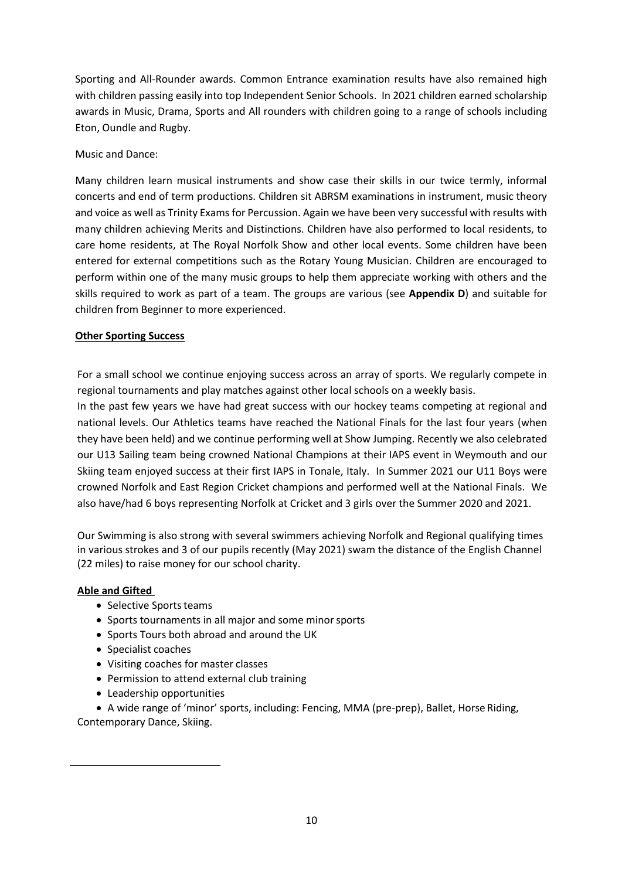Sporting and All-Rounder awards. Common Entrance examination results have also remained high with children passing easily into top Independent Senior Schools. In 2021 children earned scholarship awards in Music, Drama, Sports and All rounders with children going to a range of schools including Eton, Oundle and Rugby.

## Music and Dance:

Many children learn musical instruments and show case their skills in our twice termly, informal concerts and end of term productions. Children sit ABRSM examinations in instrument, music theory and voice as well as Trinity Exams for Percussion. Again we have been very successful with results with many children achieving Merits and Distinctions. Children have also performed to local residents, to care home residents, at The Royal Norfolk Show and other local events. Some children have been entered for external competitions such as the Rotary Young Musician. Children are encouraged to perform within one of the many music groups to help them appreciate working with others and the skills required to work as part of a team. The groups are various (see **Appendix D**) and suitable for children from Beginner to more experienced.

# **Other Sporting Success**

For a small school we continue enjoying success across an array of sports. We regularly compete in regional tournaments and play matches against other local schools on a weekly basis.

In the past few years we have had great success with our hockey teams competing at regional and national levels. Our Athletics teams have reached the National Finals for the last four years (when they have been held) and we continue performing well at Show Jumping. Recently we also celebrated our U13 Sailing team being crowned National Champions at their IAPS event in Weymouth and our Skiing team enjoyed success at their first IAPS in Tonale, Italy. In Summer 2021 our U11 Boys were crowned Norfolk and East Region Cricket champions and performed well at the National Finals. We also have/had 6 boys representing Norfolk at Cricket and 3 girls over the Summer 2020 and 2021.

Our Swimming is also strong with several swimmers achieving Norfolk and Regional qualifying times in various strokes and 3 of our pupils recently (May 2021) swam the distance of the English Channel (22 miles) to raise money for our school charity.

## **Able and Gifted**

- Selective Sports teams
- Sports tournaments in all major and some minorsports
- Sports Tours both abroad and around the UK
- Specialist coaches
- Visiting coaches for master classes
- Permission to attend external club training
- Leadership opportunities

• A wide range of 'minor' sports, including: Fencing, MMA (pre-prep), Ballet, Horse Riding, Contemporary Dance, Skiing.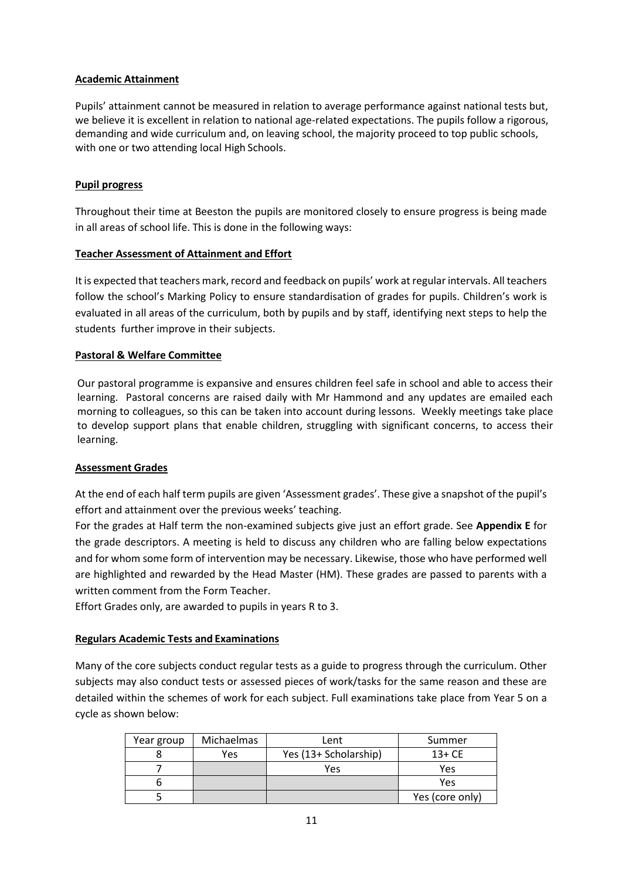## **Academic Attainment**

Pupils' attainment cannot be measured in relation to average performance against national tests but, we believe it is excellent in relation to national age-related expectations. The pupils follow a rigorous, demanding and wide curriculum and, on leaving school, the majority proceed to top public schools, with one or two attending local High Schools.

## **Pupil progress**

Throughout their time at Beeston the pupils are monitored closely to ensure progress is being made in all areas of school life. This is done in the following ways:

## **Teacher Assessment of Attainment and Effort**

It is expected that teachers mark, record and feedback on pupils' work at regular intervals. All teachers follow the school's Marking Policy to ensure standardisation of grades for pupils. Children's work is evaluated in all areas of the curriculum, both by pupils and by staff, identifying next steps to help the students further improve in their subjects.

# **Pastoral & Welfare Committee**

Our pastoral programme is expansive and ensures children feel safe in school and able to access their learning. Pastoral concerns are raised daily with Mr Hammond and any updates are emailed each morning to colleagues, so this can be taken into account during lessons. Weekly meetings take place to develop support plans that enable children, struggling with significant concerns, to access their learning.

## **Assessment Grades**

At the end of each half term pupils are given 'Assessment grades'. These give a snapshot of the pupil's effort and attainment over the previous weeks' teaching.

For the grades at Half term the non-examined subjects give just an effort grade. See **Appendix E** for the grade descriptors. A meeting is held to discuss any children who are falling below expectations and for whom some form of intervention may be necessary. Likewise, those who have performed well are highlighted and rewarded by the Head Master (HM). These grades are passed to parents with a written comment from the Form Teacher.

Effort Grades only, are awarded to pupils in years R to 3.

## **Regulars Academic Tests and Examinations**

Many of the core subjects conduct regular tests as a guide to progress through the curriculum. Other subjects may also conduct tests or assessed pieces of work/tasks for the same reason and these are detailed within the schemes of work for each subject. Full examinations take place from Year 5 on a cycle as shown below:

| Year group | Michaelmas | Lent                  | Summer          |
|------------|------------|-----------------------|-----------------|
|            | Yes        | Yes (13+ Scholarship) | $13 + CE$       |
|            |            | Yes                   | Yes             |
|            |            |                       | Yes             |
|            |            |                       | Yes (core only) |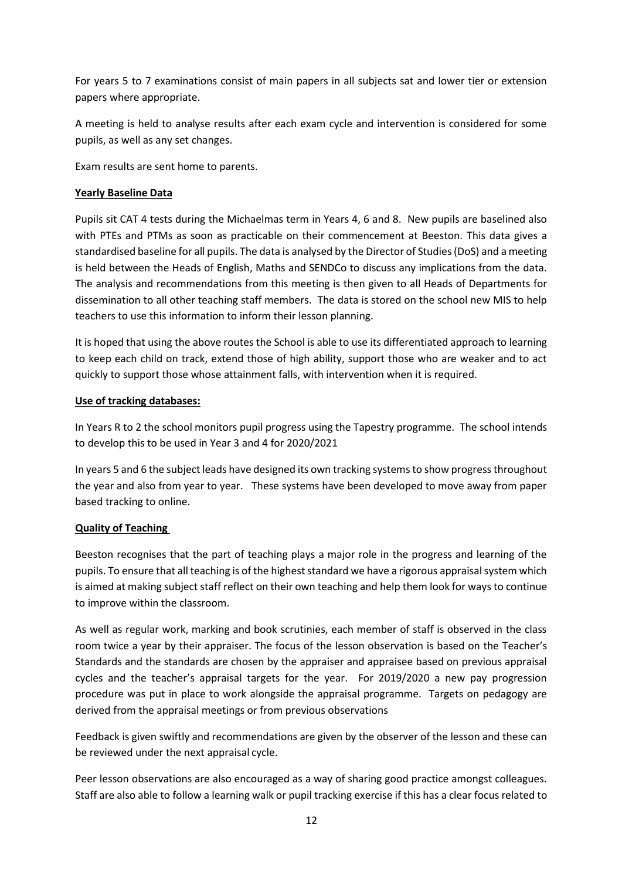For years 5 to 7 examinations consist of main papers in all subjects sat and lower tier or extension papers where appropriate.

A meeting is held to analyse results after each exam cycle and intervention is considered for some pupils, as well as any set changes.

Exam results are sent home to parents.

# **Yearly Baseline Data**

Pupils sit CAT 4 tests during the Michaelmas term in Years 4, 6 and 8. New pupils are baselined also with PTEs and PTMs as soon as practicable on their commencement at Beeston. This data gives a standardised baseline for all pupils. The data is analysed by the Director of Studies (DoS) and a meeting is held between the Heads of English, Maths and SENDCo to discuss any implications from the data. The analysis and recommendations from this meeting is then given to all Heads of Departments for dissemination to all other teaching staff members. The data is stored on the school new MIS to help teachers to use this information to inform their lesson planning.

It is hoped that using the above routes the School is able to use its differentiated approach to learning to keep each child on track, extend those of high ability, support those who are weaker and to act quickly to support those whose attainment falls, with intervention when it is required.

## **Use of tracking databases:**

In Years R to 2 the school monitors pupil progress using the Tapestry programme. The school intends to develop this to be used in Year 3 and 4 for 2020/2021

In years 5 and 6 the subject leads have designed its own tracking systems to show progress throughout the year and also from year to year. These systems have been developed to move away from paper based tracking to online.

## **Quality of Teaching**

Beeston recognises that the part of teaching plays a major role in the progress and learning of the pupils. To ensure that all teaching is of the highest standard we have a rigorous appraisal system which is aimed at making subject staff reflect on their own teaching and help them look for ways to continue to improve within the classroom.

As well as regular work, marking and book scrutinies, each member of staff is observed in the class room twice a year by their appraiser. The focus of the lesson observation is based on the Teacher's Standards and the standards are chosen by the appraiser and appraisee based on previous appraisal cycles and the teacher's appraisal targets for the year. For 2019/2020 a new pay progression procedure was put in place to work alongside the appraisal programme. Targets on pedagogy are derived from the appraisal meetings or from previous observations

Feedback is given swiftly and recommendations are given by the observer of the lesson and these can be reviewed under the next appraisal cycle.

Peer lesson observations are also encouraged as a way of sharing good practice amongst colleagues. Staff are also able to follow a learning walk or pupil tracking exercise if this has a clear focus related to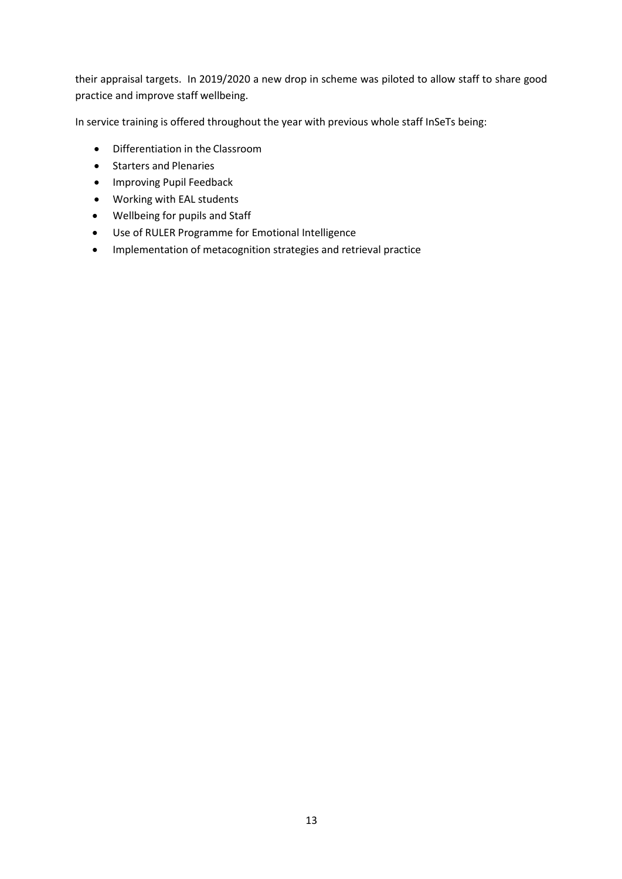their appraisal targets. In 2019/2020 a new drop in scheme was piloted to allow staff to share good practice and improve staff wellbeing.

In service training is offered throughout the year with previous whole staff InSeTs being:

- Differentiation in the Classroom
- Starters and Plenaries
- Improving Pupil Feedback
- Working with EAL students
- Wellbeing for pupils and Staff
- Use of RULER Programme for Emotional Intelligence
- Implementation of metacognition strategies and retrieval practice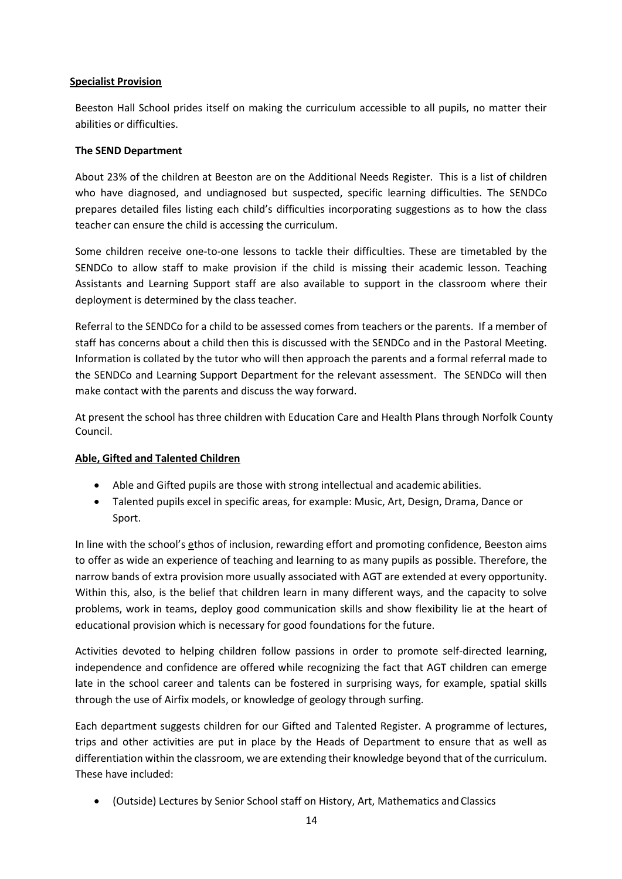## **Specialist Provision**

Beeston Hall School prides itself on making the curriculum accessible to all pupils, no matter their abilities or difficulties.

#### **The SEND Department**

About 23% of the children at Beeston are on the Additional Needs Register. This is a list of children who have diagnosed, and undiagnosed but suspected, specific learning difficulties. The SENDCo prepares detailed files listing each child's difficulties incorporating suggestions as to how the class teacher can ensure the child is accessing the curriculum.

Some children receive one-to-one lessons to tackle their difficulties. These are timetabled by the SENDCo to allow staff to make provision if the child is missing their academic lesson. Teaching Assistants and Learning Support staff are also available to support in the classroom where their deployment is determined by the class teacher.

Referral to the SENDCo for a child to be assessed comes from teachers or the parents. If a member of staff has concerns about a child then this is discussed with the SENDCo and in the Pastoral Meeting. Information is collated by the tutor who will then approach the parents and a formal referral made to the SENDCo and Learning Support Department for the relevant assessment. The SENDCo will then make contact with the parents and discuss the way forward.

At present the school has three children with Education Care and Health Plans through Norfolk County Council.

## **Able, Gifted and Talented Children**

- Able and Gifted pupils are those with strong intellectual and academic abilities.
- Talented pupils excel in specific areas, for example: Music, Art, Design, Drama, Dance or Sport.

In line with the school's ethos of inclusion, rewarding effort and promoting confidence, Beeston aims to offer as wide an experience of teaching and learning to as many pupils as possible. Therefore, the narrow bands of extra provision more usually associated with AGT are extended at every opportunity. Within this, also, is the belief that children learn in many different ways, and the capacity to solve problems, work in teams, deploy good communication skills and show flexibility lie at the heart of educational provision which is necessary for good foundations for the future.

Activities devoted to helping children follow passions in order to promote self-directed learning, independence and confidence are offered while recognizing the fact that AGT children can emerge late in the school career and talents can be fostered in surprising ways, for example, spatial skills through the use of Airfix models, or knowledge of geology through surfing.

Each department suggests children for our Gifted and Talented Register. A programme of lectures, trips and other activities are put in place by the Heads of Department to ensure that as well as differentiation within the classroom, we are extending their knowledge beyond that of the curriculum. These have included:

• (Outside) Lectures by Senior School staff on History, Art, Mathematics and Classics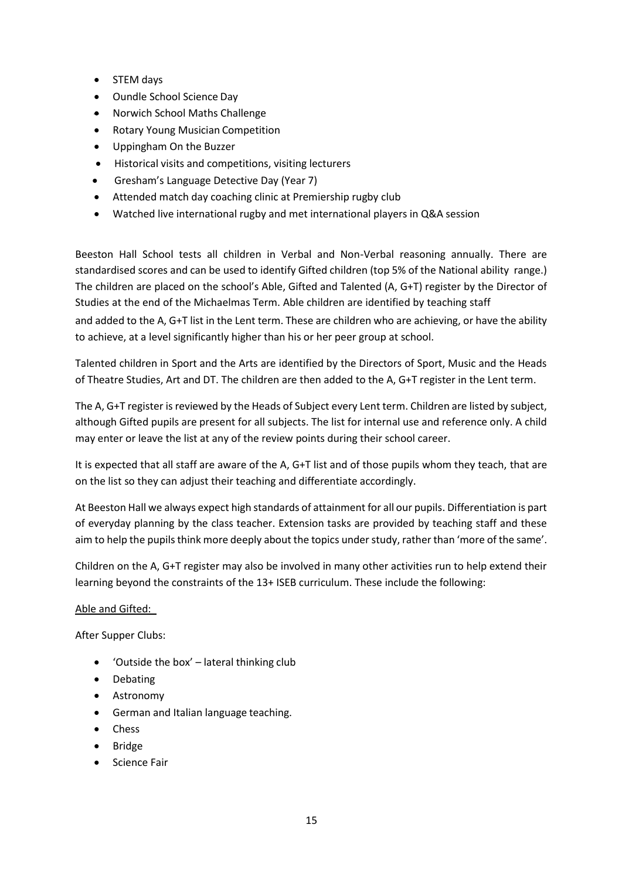- STEM days
- Oundle School Science Day
- Norwich School Maths Challenge
- Rotary Young Musician Competition
- Uppingham On the Buzzer
- Historical visits and competitions, visiting lecturers
- Gresham's Language Detective Day (Year 7)
- Attended match day coaching clinic at Premiership rugby club
- Watched live international rugby and met international players in Q&A session

Beeston Hall School tests all children in Verbal and Non-Verbal reasoning annually. There are standardised scores and can be used to identify Gifted children (top 5% of the National ability range.) The children are placed on the school's Able, Gifted and Talented (A, G+T) register by the Director of Studies at the end of the Michaelmas Term. Able children are identified by teaching staff and added to the A, G+T list in the Lent term. These are children who are achieving, or have the ability to achieve, at a level significantly higher than his or her peer group at school.

Talented children in Sport and the Arts are identified by the Directors of Sport, Music and the Heads of Theatre Studies, Art and DT. The children are then added to the A, G+T register in the Lent term.

The A, G+T register is reviewed by the Heads of Subject every Lent term. Children are listed by subject, although Gifted pupils are present for all subjects. The list for internal use and reference only. A child may enter or leave the list at any of the review points during their school career.

It is expected that all staff are aware of the A, G+T list and of those pupils whom they teach, that are on the list so they can adjust their teaching and differentiate accordingly.

At Beeston Hall we always expect high standards of attainment for all our pupils. Differentiation is part of everyday planning by the class teacher. Extension tasks are provided by teaching staff and these aim to help the pupils think more deeply about the topics under study, rather than 'more of the same'.

Children on the A, G+T register may also be involved in many other activities run to help extend their learning beyond the constraints of the 13+ ISEB curriculum. These include the following:

## Able and Gifted:

After Supper Clubs:

- 'Outside the box' lateral thinking club
- Debating
- Astronomy
- German and Italian language teaching.
- Chess
- Bridge
- Science Fair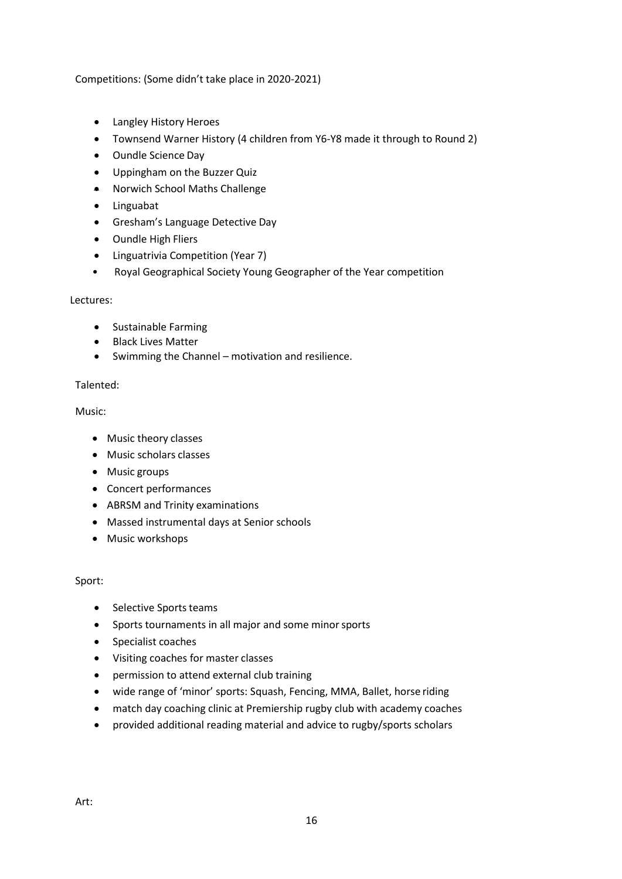Competitions: (Some didn't take place in 2020-2021)

- Langley History Heroes
- Townsend Warner History (4 children from Y6-Y8 made it through to Round 2)
- Oundle Science Day
- Uppingham on the Buzzer Quiz
- Norwich School Maths Challenge
- Linguabat
- Gresham's Language Detective Day
- Oundle High Fliers
- Linguatrivia Competition (Year 7)
- Royal Geographical Society Young Geographer of the Year competition

#### Lectures:

- Sustainable Farming
- Black Lives Matter
- Swimming the Channel motivation and resilience.

#### Talented:

#### Music:

- Music theory classes
- Music scholars classes
- Music groups
- Concert performances
- ABRSM and Trinity examinations
- Massed instrumental days at Senior schools
- Music workshops

#### Sport:

- Selective Sports teams
- Sports tournaments in all major and some minorsports
- Specialist coaches
- Visiting coaches for master classes
- permission to attend external club training
- wide range of 'minor' sports: Squash, Fencing, MMA, Ballet, horse riding
- match day coaching clinic at Premiership rugby club with academy coaches
- provided additional reading material and advice to rugby/sports scholars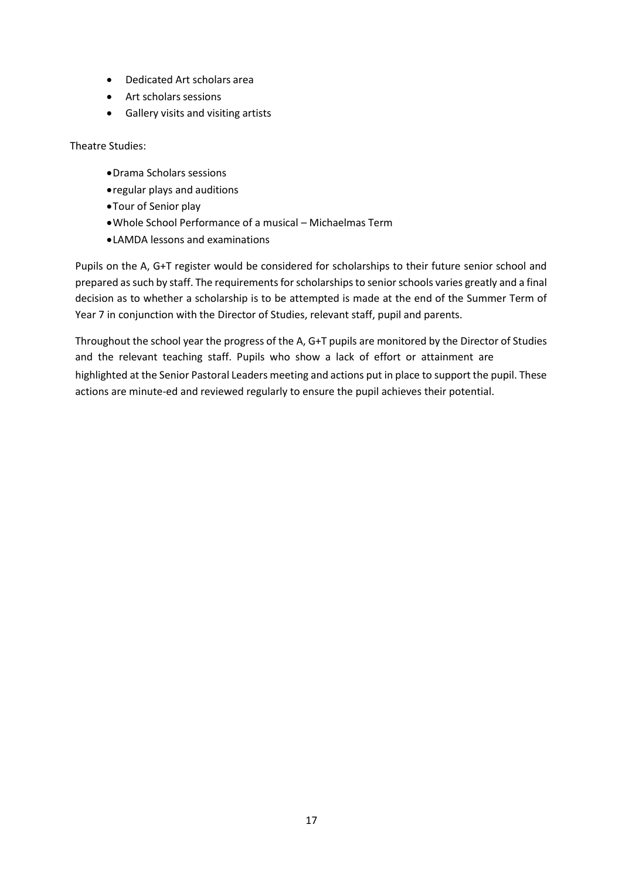- Dedicated Art scholars area
- Art scholars sessions
- Gallery visits and visiting artists

Theatre Studies:

- •Drama Scholars sessions
- •regular plays and auditions
- •Tour of Senior play
- •Whole School Performance of a musical Michaelmas Term
- •LAMDA lessons and examinations

Pupils on the A, G+T register would be considered for scholarships to their future senior school and prepared as such by staff. The requirements for scholarships to senior schools varies greatly and a final decision as to whether a scholarship is to be attempted is made at the end of the Summer Term of Year 7 in conjunction with the Director of Studies, relevant staff, pupil and parents.

Throughout the school year the progress of the A, G+T pupils are monitored by the Director of Studies and the relevant teaching staff. Pupils who show a lack of effort or attainment are highlighted at the Senior Pastoral Leaders meeting and actions put in place to support the pupil. These actions are minute-ed and reviewed regularly to ensure the pupil achieves their potential.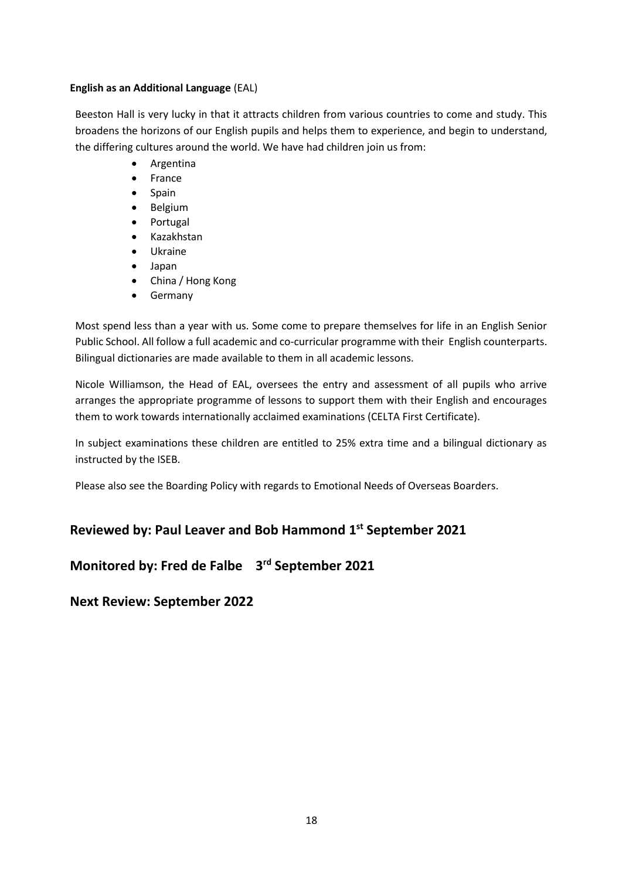#### **English as an Additional Language** (EAL)

Beeston Hall is very lucky in that it attracts children from various countries to come and study. This broadens the horizons of our English pupils and helps them to experience, and begin to understand, the differing cultures around the world. We have had children join us from:

- Argentina
- France
- Spain
- Belgium
- Portugal
- Kazakhstan
- Ukraine
- Japan
- China / Hong Kong
- **Germany**

Most spend less than a year with us. Some come to prepare themselves for life in an English Senior Public School. All follow a full academic and co-curricular programme with their English counterparts. Bilingual dictionaries are made available to them in all academic lessons.

Nicole Williamson, the Head of EAL, oversees the entry and assessment of all pupils who arrive arranges the appropriate programme of lessons to support them with their English and encourages them to work towards internationally acclaimed examinations (CELTA First Certificate).

In subject examinations these children are entitled to 25% extra time and a bilingual dictionary as instructed by the ISEB.

Please also see the Boarding Policy with regards to Emotional Needs of Overseas Boarders.

# **Reviewed by: Paul Leaver and Bob Hammond 1st September 2021**

# **Monitored by: Fred de Falbe 3 rd September 2021**

**Next Review: September 2022**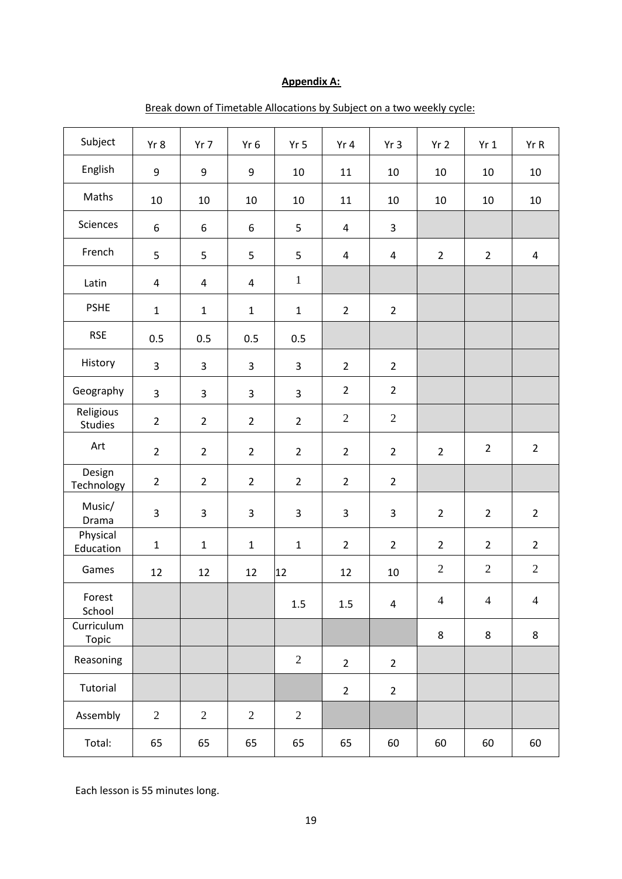# **Appendix A:**

| Subject                    | Yr 8                    | $Yr$ 7         | Yr 6           | Yr <sub>5</sub> | Yr 4                    | Yr <sub>3</sub>         | Yr <sub>2</sub> | Yr1            | Yr R           |
|----------------------------|-------------------------|----------------|----------------|-----------------|-------------------------|-------------------------|-----------------|----------------|----------------|
| English                    | 9                       | 9              | 9              | 10              | 11                      | 10                      | 10              | 10             | 10             |
| Maths                      | 10                      | 10             | 10             | 10              | 11                      | 10                      | 10              | 10             | 10             |
| Sciences                   | 6                       | 6              | 6              | 5               | $\overline{\mathbf{4}}$ | 3                       |                 |                |                |
| French                     | 5                       | 5              | 5              | 5               | $\overline{4}$          | 4                       | $\overline{2}$  | $\overline{2}$ | 4              |
| Latin                      | $\overline{\mathbf{4}}$ | 4              | 4              | $\mathbf{1}$    |                         |                         |                 |                |                |
| <b>PSHE</b>                | $\mathbf{1}$            | $\mathbf 1$    | $\mathbf 1$    | $\mathbf{1}$    | $\overline{2}$          | $\overline{2}$          |                 |                |                |
| <b>RSE</b>                 | 0.5                     | 0.5            | 0.5            | 0.5             |                         |                         |                 |                |                |
| History                    | 3                       | 3              | 3              | 3               | $\overline{2}$          | $\overline{2}$          |                 |                |                |
| Geography                  | 3                       | 3              | $\mathsf{3}$   | 3               | $\overline{2}$          | $\overline{2}$          |                 |                |                |
| Religious<br>Studies       | $\overline{2}$          | $\overline{2}$ | $\overline{2}$ | $\overline{2}$  | $\mathbf{2}$            | $\mathbf{2}$            |                 |                |                |
| Art                        | $\overline{2}$          | $\overline{2}$ | $\overline{2}$ | $\overline{2}$  | $\overline{2}$          | $\overline{2}$          | $\overline{2}$  | $\overline{2}$ | $\overline{2}$ |
| Design<br>Technology       | $\overline{2}$          | $\overline{2}$ | $\overline{2}$ | $\overline{2}$  | $\overline{2}$          | $\overline{2}$          |                 |                |                |
| Music/<br>Drama            | 3                       | 3              | 3              | 3               | 3                       | 3                       | $\overline{2}$  | $\overline{2}$ | $\overline{2}$ |
| Physical<br>Education      | $\mathbf{1}$            | $\mathbf 1$    | $\mathbf{1}$   | $\mathbf 1$     | $\overline{2}$          | $\overline{2}$          | $\overline{2}$  | $\overline{2}$ | $\overline{2}$ |
| Games                      | 12                      | 12             | 12             | 12              | 12                      | 10                      | $\sqrt{2}$      | $\mathbf{2}$   | $\mathbf{2}$   |
| Forest<br>School           |                         |                |                | $1.5\,$         | 1.5                     | $\overline{\mathbf{4}}$ | $\overline{4}$  | $\overline{4}$ | $\overline{4}$ |
| Curriculum<br><b>Topic</b> |                         |                |                |                 |                         |                         | 8               | 8              | 8              |
| Reasoning                  |                         |                |                | $\overline{2}$  | $\overline{2}$          | $\overline{2}$          |                 |                |                |
| Tutorial                   |                         |                |                |                 | $\overline{2}$          | $\overline{2}$          |                 |                |                |
| Assembly                   | $\overline{2}$          | $\overline{2}$ | $\mathbf{2}$   | $\overline{2}$  |                         |                         |                 |                |                |
| Total:                     | 65                      | 65             | 65             | 65              | 65                      | 60                      | 60              | 60             | 60             |

# Break down of Timetable Allocations by Subject on a two weekly cycle:

Each lesson is 55 minutes long.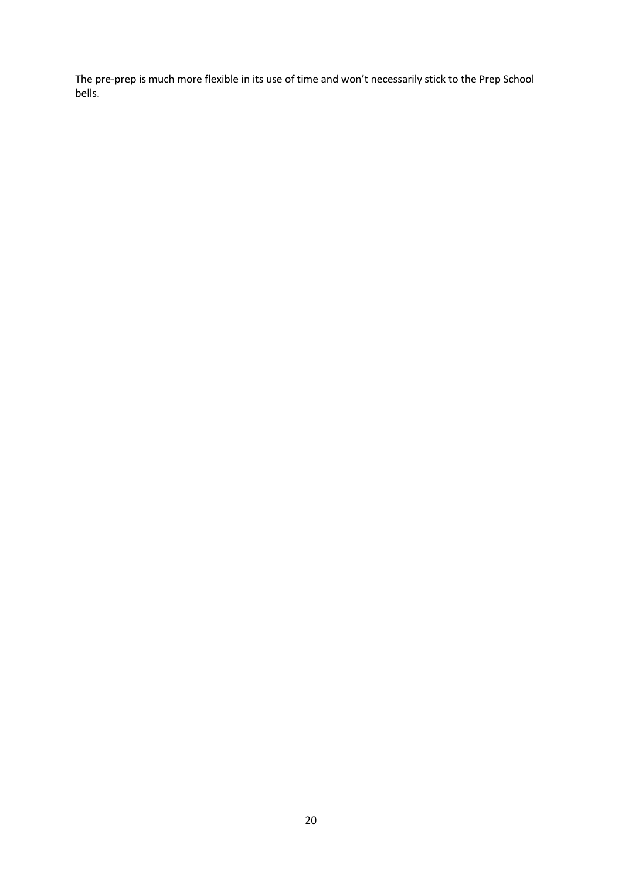The pre-prep is much more flexible in its use of time and won't necessarily stick to the Prep School bells.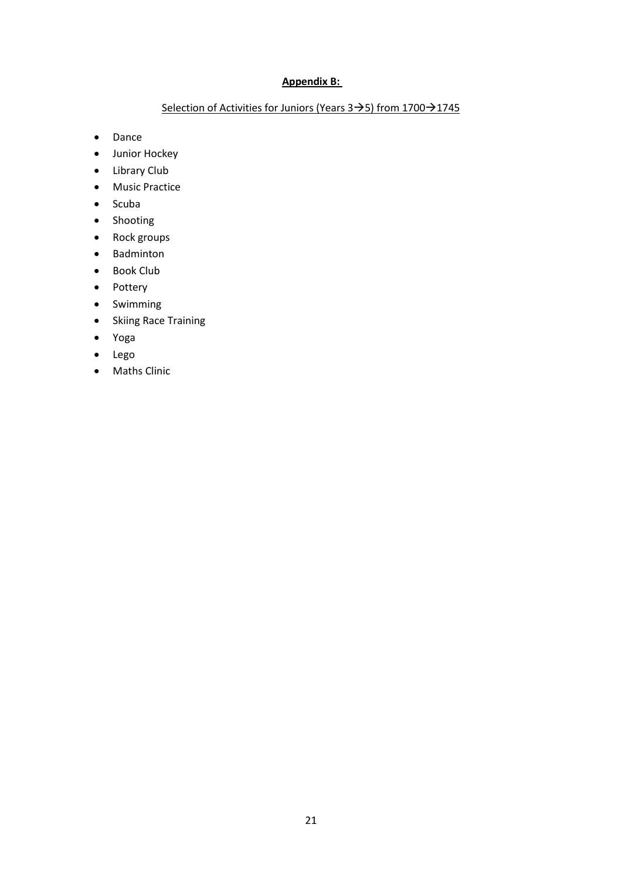# **Appendix B:**

# Selection of Activities for Juniors (Years 3→5) from 1700→1745

- Dance
- Junior Hockey
- Library Club
- Music Practice
- Scuba
- Shooting
- Rock groups
- Badminton
- Book Club
- Pottery
- Swimming
- Skiing Race Training
- Yoga
- Lego
- Maths Clinic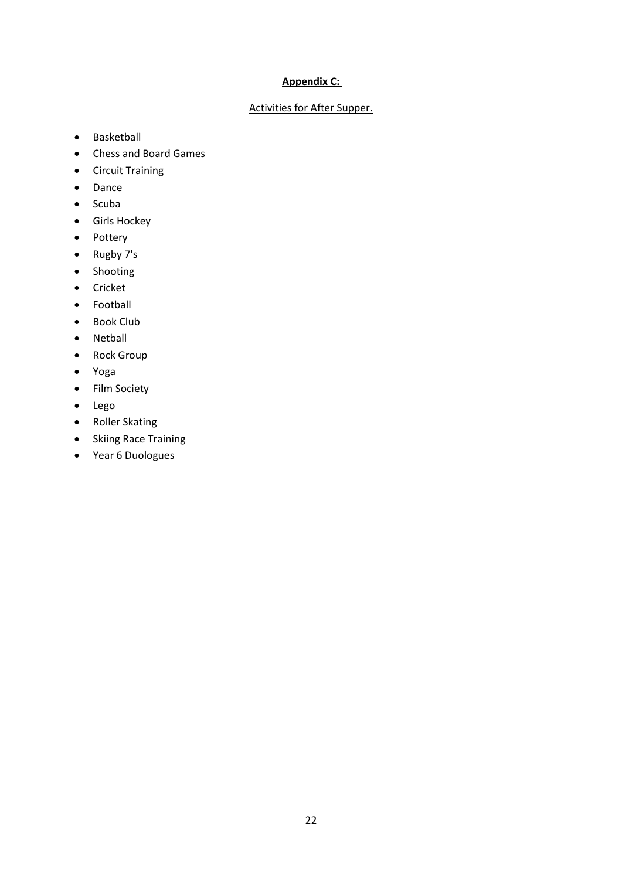# **Appendix C:**

# Activities for After Supper.

- Basketball
- Chess and Board Games
- Circuit Training
- Dance
- Scuba
- Girls Hockey
- Pottery
- Rugby 7's
- Shooting
- Cricket
- Football
- Book Club
- Netball
- Rock Group
- Yoga
- Film Society
- Lego
- Roller Skating
- Skiing Race Training
- Year 6 Duologues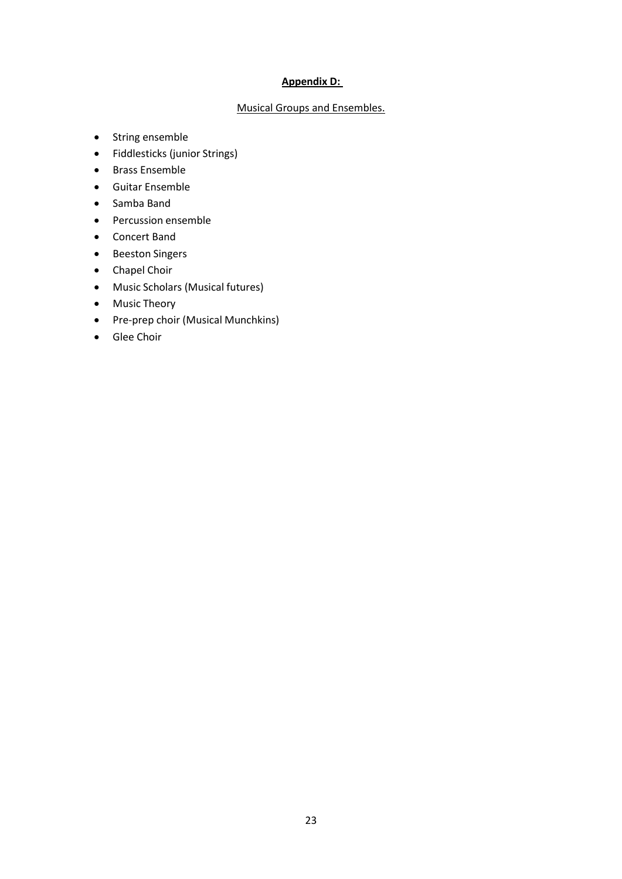## **Appendix D:**

## Musical Groups and Ensembles.

- String ensemble
- Fiddlesticks (junior Strings)
- Brass Ensemble
- Guitar Ensemble
- Samba Band
- Percussion ensemble
- Concert Band
- Beeston Singers
- Chapel Choir
- Music Scholars (Musical futures)
- Music Theory
- Pre-prep choir (Musical Munchkins)
- Glee Choir